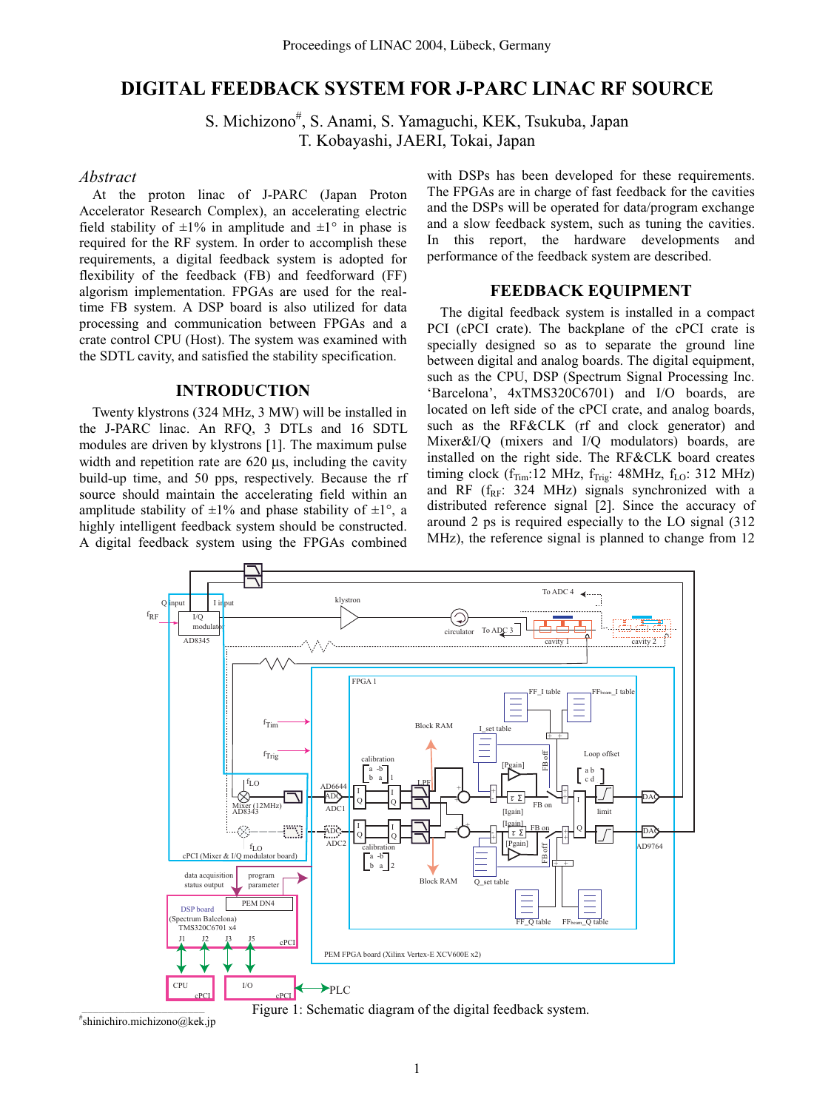# **DIGITAL FEEDBACK SYSTEM FOR J-PARC LINAC RF SOURCE**

S. Michizono<sup>#</sup>, S. Anami, S. Yamaguchi, KEK, Tsukuba, Japan T. Kobayashi, JAERI, Tokai, Japan

## *Abstract*

At the proton linac of J-PARC (Japan Proton Accelerator Research Complex), an accelerating electric field stability of  $\pm 1\%$  in amplitude and  $\pm 1\degree$  in phase is required for the RF system. In order to accomplish these requirements, a digital feedback system is adopted for flexibility of the feedback (FB) and feedforward (FF) algorism implementation. FPGAs are used for the realtime FB system. A DSP board is also utilized for data processing and communication between FPGAs and a crate control CPU (Host). The system was examined with the SDTL cavity, and satisfied the stability specification.

#### **INTRODUCTION**

Twenty klystrons (324 MHz, 3 MW) will be installed in the J-PARC linac. An RFQ, 3 DTLs and 16 SDTL modules are driven by klystrons [1]. The maximum pulse width and repetition rate are 620  $\mu$ s, including the cavity build-up time, and 50 pps, respectively. Because the rf source should maintain the accelerating field within an amplitude stability of  $\pm 1\%$  and phase stability of  $\pm 1\degree$ , a highly intelligent feedback system should be constructed. A digital feedback system using the FPGAs combined with DSPs has been developed for these requirements. The FPGAs are in charge of fast feedback for the cavities and the DSPs will be operated for data/program exchange and a slow feedback system, such as tuning the cavities. In this report, the hardware developments and performance of the feedback system are described.

#### **FEEDBACK EQUIPMENT**

The digital feedback system is installed in a compact PCI (cPCI crate). The backplane of the cPCI crate is specially designed so as to separate the ground line between digital and analog boards. The digital equipment, such as the CPU, DSP (Spectrum Signal Processing Inc. 'Barcelona', 4xTMS320C6701) and I/O boards, are located on left side of the cPCI crate, and analog boards, such as the RF&CLK (rf and clock generator) and Mixer&I/Q (mixers and I/Q modulators) boards, are installed on the right side. The RF&CLK board creates timing clock ( $f_{Tim}$ :12 MHz,  $f_{Trig}$ : 48MHz,  $f_{LO}$ : 312 MHz) and RF ( $f_{RF}$ : 324 MHz) signals synchronized with a distributed reference signal [2]. Since the accuracy of around 2 ps is required especially to the LO signal (312 MHz), the reference signal is planned to change from 12





\_\_\_\_\_\_\_\_\_\_\_\_\_\_\_\_\_\_\_\_\_\_\_\_\_\_\_\_\_\_\_\_\_\_\_\_\_\_\_\_\_\_\_ # shinichiro.michizono@kek.jp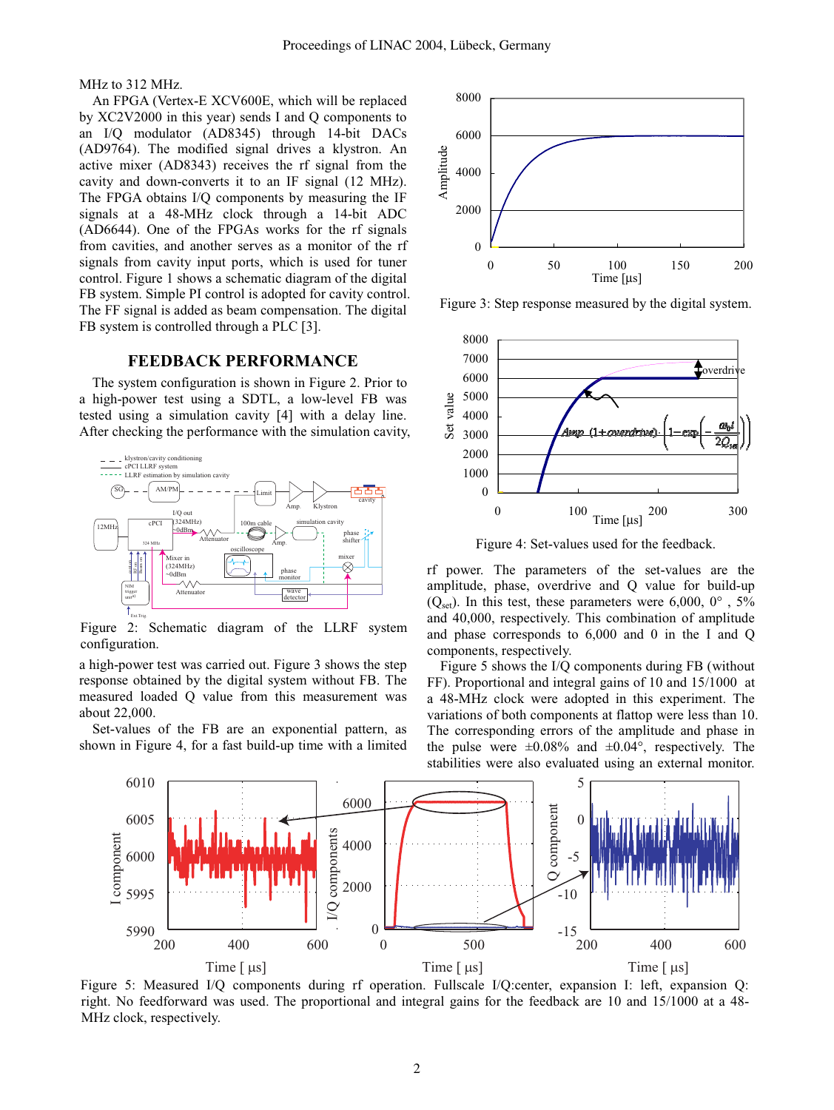MHz to 312 MHz.

An FPGA (Vertex-E XCV600E, which will be replaced by XC2V2000 in this year) sends I and Q components to an I/Q modulator (AD8345) through 14-bit DACs (AD9764). The modified signal drives a klystron. An active mixer (AD8343) receives the rf signal from the cavity and down-converts it to an IF signal (12 MHz). The FPGA obtains I/Q components by measuring the IF signals at a 48-MHz clock through a 14-bit ADC (AD6644). One of the FPGAs works for the rf signals from cavities, and another serves as a monitor of the rf signals from cavity input ports, which is used for tuner control. Figure 1 shows a schematic diagram of the digital FB system. Simple PI control is adopted for cavity control. The FF signal is added as beam compensation. The digital FB system is controlled through a PLC [3].

# **FEEDBACK PERFORMANCE**

The system configuration is shown in Figure 2. Prior to a high-power test using a SDTL, a low-level FB was tested using a simulation cavity [4] with a delay line. After checking the performance with the simulation cavity,



configuration. Figure 2: Schematic diagram of the LLRF system

a high-power test was carried out. Figure 3 shows the step response obtained by the digital system without FB. The measured loaded Q value from this measurement was about 22,000.

Set-values of the FB are an exponential pattern, as shown in Figure 4, for a fast build-up time with a limited



Figure 3: Step response measured by the digital system.



Figure 4: Set-values used for the feedback.

rf power. The parameters of the set-values are the amplitude, phase, overdrive and Q value for build-up  $(Q<sub>set</sub>)$ . In this test, these parameters were 6,000, 0°, 5% and 40,000, respectively. This combination of amplitude and phase corresponds to 6,000 and 0 in the I and Q components, respectively.

Figure 5 shows the I/Q components during FB (without FF). Proportional and integral gains of 10 and 15/1000 at a 48-MHz clock were adopted in this experiment. The variations of both components at flattop were less than 10. The corresponding errors of the amplitude and phase in the pulse were  $\pm 0.08\%$  and  $\pm 0.04\degree$ , respectively. The stabilities were also evaluated using an external monitor.



MHz clock, respectively. Figure 5: Measured I/Q components during rf operation. Fullscale I/Q:center, expansion I: left, expansion Q: right. No feedforward was used. The proportional and integral gains for the feedback are 10 and 15/1000 at a 48-